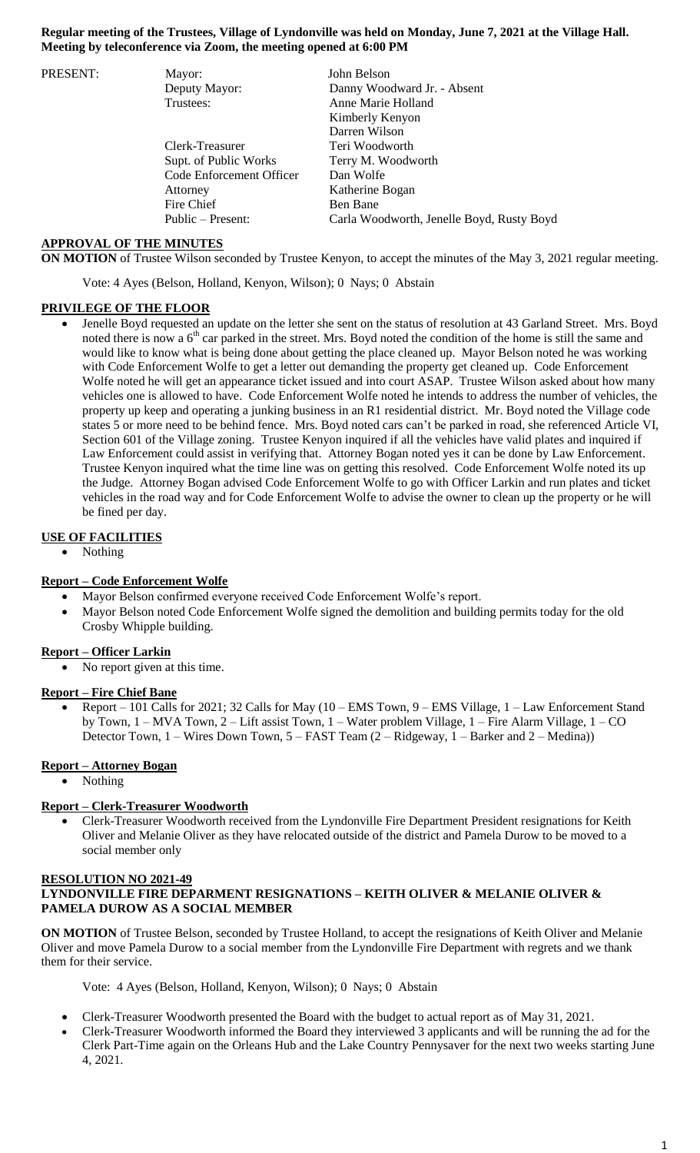### **Regular meeting of the Trustees, Village of Lyndonville was held on Monday, June 7, 2021 at the Village Hall. Meeting by teleconference via Zoom, the meeting opened at 6:00 PM**

| PRESENT: | Mayor:                   | John Belson                               |
|----------|--------------------------|-------------------------------------------|
|          | Deputy Mayor:            | Danny Woodward Jr. - Absent               |
|          | Trustees:                | Anne Marie Holland                        |
|          |                          | Kimberly Kenyon                           |
|          |                          | Darren Wilson                             |
|          | Clerk-Treasurer          | Teri Woodworth                            |
|          | Supt. of Public Works    | Terry M. Woodworth                        |
|          | Code Enforcement Officer | Dan Wolfe                                 |
|          | Attorney                 | Katherine Bogan                           |
|          | Fire Chief               | Ben Bane                                  |
|          | Public – Present:        | Carla Woodworth, Jenelle Boyd, Rusty Boyd |

### **APPROVAL OF THE MINUTES**

**ON MOTION** of Trustee Wilson seconded by Trustee Kenyon, to accept the minutes of the May 3, 2021 regular meeting.

Vote: 4 Ayes (Belson, Holland, Kenyon, Wilson); 0 Nays; 0 Abstain

#### **PRIVILEGE OF THE FLOOR**

 Jenelle Boyd requested an update on the letter she sent on the status of resolution at 43 Garland Street. Mrs. Boyd noted there is now a  $6<sup>th</sup>$  car parked in the street. Mrs. Boyd noted the condition of the home is still the same and would like to know what is being done about getting the place cleaned up. Mayor Belson noted he was working with Code Enforcement Wolfe to get a letter out demanding the property get cleaned up. Code Enforcement Wolfe noted he will get an appearance ticket issued and into court ASAP. Trustee Wilson asked about how many vehicles one is allowed to have. Code Enforcement Wolfe noted he intends to address the number of vehicles, the property up keep and operating a junking business in an R1 residential district. Mr. Boyd noted the Village code states 5 or more need to be behind fence. Mrs. Boyd noted cars can't be parked in road, she referenced Article VI, Section 601 of the Village zoning. Trustee Kenyon inquired if all the vehicles have valid plates and inquired if Law Enforcement could assist in verifying that. Attorney Bogan noted yes it can be done by Law Enforcement. Trustee Kenyon inquired what the time line was on getting this resolved. Code Enforcement Wolfe noted its up the Judge. Attorney Bogan advised Code Enforcement Wolfe to go with Officer Larkin and run plates and ticket vehicles in the road way and for Code Enforcement Wolfe to advise the owner to clean up the property or he will be fined per day.

#### **USE OF FACILITIES**

Nothing

#### **Report – Code Enforcement Wolfe**

- Mayor Belson confirmed everyone received Code Enforcement Wolfe's report.
- Mayor Belson noted Code Enforcement Wolfe signed the demolition and building permits today for the old Crosby Whipple building.

#### **Report – Officer Larkin**

No report given at this time.

#### **Report – Fire Chief Bane**

 Report – 101 Calls for 2021; 32 Calls for May (10 – EMS Town, 9 – EMS Village, 1 – Law Enforcement Stand by Town, 1 – MVA Town, 2 – Lift assist Town, 1 – Water problem Village, 1 – Fire Alarm Village, 1 – CO Detector Town, 1 – Wires Down Town, 5 – FAST Team (2 – Ridgeway, 1 – Barker and 2 – Medina))

### **Report – Attorney Bogan**

Nothing

#### **Report – Clerk-Treasurer Woodworth**

 Clerk-Treasurer Woodworth received from the Lyndonville Fire Department President resignations for Keith Oliver and Melanie Oliver as they have relocated outside of the district and Pamela Durow to be moved to a social member only

#### **RESOLUTION NO 2021-49**

### **LYNDONVILLE FIRE DEPARMENT RESIGNATIONS – KEITH OLIVER & MELANIE OLIVER & PAMELA DUROW AS A SOCIAL MEMBER**

**ON MOTION** of Trustee Belson, seconded by Trustee Holland, to accept the resignations of Keith Oliver and Melanie Oliver and move Pamela Durow to a social member from the Lyndonville Fire Department with regrets and we thank them for their service.

Vote: 4 Ayes (Belson, Holland, Kenyon, Wilson); 0 Nays; 0 Abstain

- Clerk-Treasurer Woodworth presented the Board with the budget to actual report as of May 31, 2021.
- Clerk-Treasurer Woodworth informed the Board they interviewed 3 applicants and will be running the ad for the Clerk Part-Time again on the Orleans Hub and the Lake Country Pennysaver for the next two weeks starting June 4, 2021.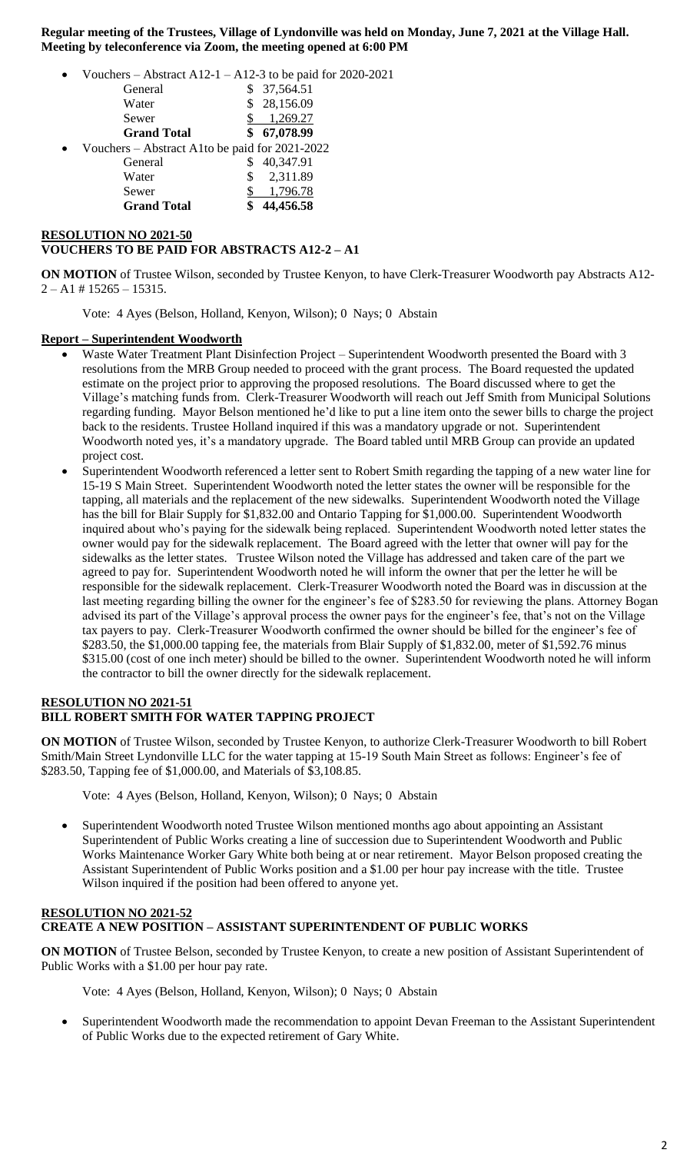**Regular meeting of the Trustees, Village of Lyndonville was held on Monday, June 7, 2021 at the Village Hall. Meeting by teleconference via Zoom, the meeting opened at 6:00 PM**

- Vouchers Abstract A12-1 A12-3 to be paid for 2020-2021
	- General \$ 37,564.51 Water \$ 28,156.09 Sewer \$ 1,269.27 **Grand Total \$ 67,078.99** Vouchers – Abstract A1to be paid for 2021-2022
		- General \$ 40,347.91 Water \$ 2,311.89 Sewer \$ 1,796.78 **Grand Total \$ 44,456.58**

# **RESOLUTION NO 2021-50 VOUCHERS TO BE PAID FOR ABSTRACTS A12-2 – A1**

**ON MOTION** of Trustee Wilson, seconded by Trustee Kenyon, to have Clerk-Treasurer Woodworth pay Abstracts A12-  $2 - A1 \# 15265 - 15315.$ 

Vote: 4 Ayes (Belson, Holland, Kenyon, Wilson); 0 Nays; 0 Abstain

# **Report – Superintendent Woodworth**

- Waste Water Treatment Plant Disinfection Project Superintendent Woodworth presented the Board with 3 resolutions from the MRB Group needed to proceed with the grant process. The Board requested the updated estimate on the project prior to approving the proposed resolutions. The Board discussed where to get the Village's matching funds from. Clerk-Treasurer Woodworth will reach out Jeff Smith from Municipal Solutions regarding funding. Mayor Belson mentioned he'd like to put a line item onto the sewer bills to charge the project back to the residents. Trustee Holland inquired if this was a mandatory upgrade or not. Superintendent Woodworth noted yes, it's a mandatory upgrade. The Board tabled until MRB Group can provide an updated project cost.
- Superintendent Woodworth referenced a letter sent to Robert Smith regarding the tapping of a new water line for 15-19 S Main Street. Superintendent Woodworth noted the letter states the owner will be responsible for the tapping, all materials and the replacement of the new sidewalks. Superintendent Woodworth noted the Village has the bill for Blair Supply for \$1,832.00 and Ontario Tapping for \$1,000.00. Superintendent Woodworth inquired about who's paying for the sidewalk being replaced. Superintendent Woodworth noted letter states the owner would pay for the sidewalk replacement. The Board agreed with the letter that owner will pay for the sidewalks as the letter states. Trustee Wilson noted the Village has addressed and taken care of the part we agreed to pay for. Superintendent Woodworth noted he will inform the owner that per the letter he will be responsible for the sidewalk replacement. Clerk-Treasurer Woodworth noted the Board was in discussion at the last meeting regarding billing the owner for the engineer's fee of \$283.50 for reviewing the plans. Attorney Bogan advised its part of the Village's approval process the owner pays for the engineer's fee, that's not on the Village tax payers to pay. Clerk-Treasurer Woodworth confirmed the owner should be billed for the engineer's fee of \$283.50, the \$1,000.00 tapping fee, the materials from Blair Supply of \$1,832.00, meter of \$1,592.76 minus \$315.00 (cost of one inch meter) should be billed to the owner. Superintendent Woodworth noted he will inform the contractor to bill the owner directly for the sidewalk replacement.

### **RESOLUTION NO 2021-51 BILL ROBERT SMITH FOR WATER TAPPING PROJECT**

**ON MOTION** of Trustee Wilson, seconded by Trustee Kenyon, to authorize Clerk-Treasurer Woodworth to bill Robert Smith/Main Street Lyndonville LLC for the water tapping at 15-19 South Main Street as follows: Engineer's fee of \$283.50, Tapping fee of \$1,000.00, and Materials of \$3,108.85.

Vote: 4 Ayes (Belson, Holland, Kenyon, Wilson); 0 Nays; 0 Abstain

 Superintendent Woodworth noted Trustee Wilson mentioned months ago about appointing an Assistant Superintendent of Public Works creating a line of succession due to Superintendent Woodworth and Public Works Maintenance Worker Gary White both being at or near retirement. Mayor Belson proposed creating the Assistant Superintendent of Public Works position and a \$1.00 per hour pay increase with the title. Trustee Wilson inquired if the position had been offered to anyone yet.

# **RESOLUTION NO 2021-52 CREATE A NEW POSITION – ASSISTANT SUPERINTENDENT OF PUBLIC WORKS**

**ON MOTION** of Trustee Belson, seconded by Trustee Kenyon, to create a new position of Assistant Superintendent of Public Works with a \$1.00 per hour pay rate.

Vote: 4 Ayes (Belson, Holland, Kenyon, Wilson); 0 Nays; 0 Abstain

 Superintendent Woodworth made the recommendation to appoint Devan Freeman to the Assistant Superintendent of Public Works due to the expected retirement of Gary White.